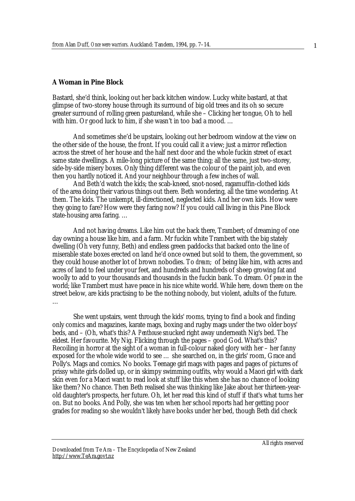## **A Woman in Pine Block**

Bastard, she'd think, looking out her back kitchen window. Lucky white bastard, at that glimpse of two-storey house through its surround of big old trees and its oh so secure greater surround of rolling green pastureland, while she – Clicking her tongue, Oh to hell with him. Or good luck to him, if she wasn't in too bad a mood. ...

And sometimes she'd be upstairs, looking out her bedroom window at the view on the other side of the house, the front. If you could call it a view; just a mirror reflection across the street of her house and the half next door and the whole fuckin street of exact same state dwellings. A mile-long picture of the same thing; all the same, just two-storey, side-by-side misery boxes. Only thing different was the colour of the paint job, and even then you hardly noticed it. And your neighbour through a few inches of wall.

And Beth'd watch the kids; the scab-kneed, snot-nosed, ragamuffin-clothed kids of the area doing their various things out there. Beth wondering, all the time wondering. At them. The kids. The unkempt, ill-directioned, neglected kids. And her own kids. How were they going to fare? How were they faring now? If you could call living in this Pine Block state-housing area faring. …

And not having dreams. Like him out the back there, Trambert; of dreaming of one day owning a house like him, and a farm. Mr fuckin white Trambert with the big stately dwelling (Oh very funny, Beth) and endless green paddocks that backed onto the line of miserable state boxes erected on land he'd once owned but sold to them, the government, so they could house another lot of brown nobodies. To *dream*; of being like him, with acres and acres of land to feel under your feet, and hundreds and hundreds of sheep growing fat and woolly to add to your thousands and thousands in the fuckin bank. To dream. Of *peace* in the world; like Trambert must have peace in his nice white world. While here, down there on the street below, are kids practising to be the nothing nobody, but violent, adults of the future. …

She went upstairs, went through the kids' rooms, trying to find a book and finding only comics and magazines, karate mags, boxing and rugby mags under the two older boys' beds, and – (Oh, what's this? A *Penthouse* snucked right away underneath Nig's bed. The eldest. Her favourite. My Nig. Flicking through the pages – good God. What's this? Recoiling in horror at the sight of a woman in full-colour naked glory with her – her fanny exposed for the whole wide world to see … she searched on, in the girls' room, Grace and Polly's. Mags and comics. No books. Teenage girl mags with pages and pages of pictures of prissy white girls dolled up, or in skimpy swimming outfits, why would a Maori girl with dark skin even for a Maori want to read look at stuff like this when she has no chance of looking like them? No chance. Then Beth realised she was thinking like Jake about her thirteen-yearold daughter's prospects, her future. Oh, let her read this kind of stuff if that's what turns her on. But no books. And Polly, she was ten when her school reports had her getting poor grades for reading so she wouldn't likely have books under her bed, though Beth did check